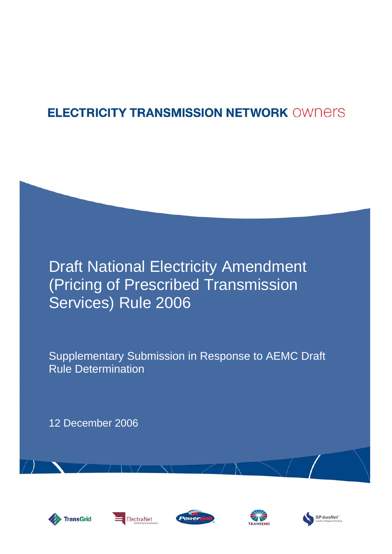# **ELECTRICITY TRANSMISSION NETWORK OWNERS**

# Draft National Electricity Amendment (Pricing of Prescribed Transmission Services) Rule 2006

Supplementary Submission in Response to AEMC Draft Rule Determination

12 December 2006









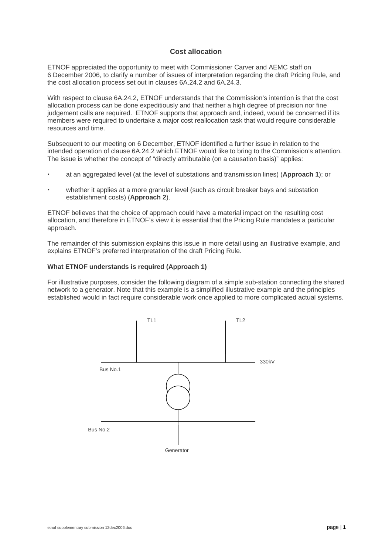## **Cost allocation**

ETNOF appreciated the opportunity to meet with Commissioner Carver and AEMC staff on 6 December 2006, to clarify a number of issues of interpretation regarding the draft Pricing Rule, and the cost allocation process set out in clauses 6A.24.2 and 6A.24.3.

With respect to clause 6A.24.2, ETNOF understands that the Commission's intention is that the cost allocation process can be done expeditiously and that neither a high degree of precision nor fine judgement calls are required. ETNOF supports that approach and, indeed, would be concerned if its members were required to undertake a major cost reallocation task that would require considerable resources and time.

Subsequent to our meeting on 6 December, ETNOF identified a further issue in relation to the intended operation of clause 6A.24.2 which ETNOF would like to bring to the Commission's attention. The issue is whether the concept of "directly attributable (on a causation basis)" applies:

- x at an aggregated level (at the level of substations and transmission lines) (**Approach 1**); or
- x whether it applies at a more granular level (such as circuit breaker bays and substation establishment costs) (**Approach 2**).

ETNOF believes that the choice of approach could have a material impact on the resulting cost allocation, and therefore in ETNOF's view it is essential that the Pricing Rule mandates a particular approach.

The remainder of this submission explains this issue in more detail using an illustrative example, and explains ETNOF's preferred interpretation of the draft Pricing Rule.

### **What ETNOF understands is required (Approach 1)**

For illustrative purposes, consider the following diagram of a simple sub-station connecting the shared network to a generator. Note that this example is a simplified illustrative example and the principles established would in fact require considerable work once applied to more complicated actual systems.

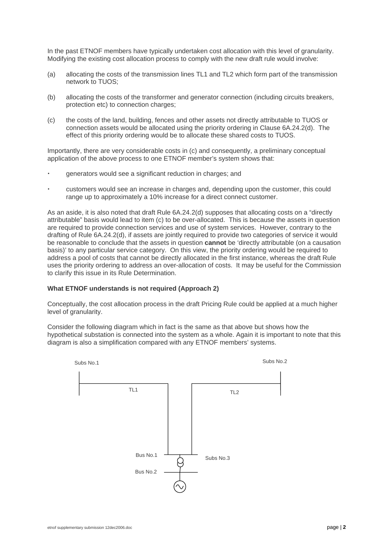In the past ETNOF members have typically undertaken cost allocation with this level of granularity. Modifying the existing cost allocation process to comply with the new draft rule would involve:

- (a) allocating the costs of the transmission lines TL1 and TL2 which form part of the transmission network to TUOS;
- (b) allocating the costs of the transformer and generator connection (including circuits breakers, protection etc) to connection charges;
- (c) the costs of the land, building, fences and other assets not directly attributable to TUOS or connection assets would be allocated using the priority ordering in Clause 6A.24.2(d). The effect of this priority ordering would be to allocate these shared costs to TUOS.

Importantly, there are very considerable costs in (c) and consequently, a preliminary conceptual application of the above process to one ETNOF member's system shows that:

- generators would see a significant reduction in charges; and
- customers would see an increase in charges and, depending upon the customer, this could range up to approximately a 10% increase for a direct connect customer.

As an aside, it is also noted that draft Rule 6A.24.2(d) supposes that allocating costs on a "directly attributable" basis would lead to item (c) to be over-allocated. This is because the assets in question are required to provide connection services and use of system services. However, contrary to the drafting of Rule 6A.24.2(d), if assets are jointly required to provide two categories of service it would be reasonable to conclude that the assets in question **cannot** be 'directly attributable (on a causation basis)' to any particular service category. On this view, the priority ordering would be required to address a pool of costs that cannot be directly allocated in the first instance, whereas the draft Rule uses the priority ordering to address an over-allocation of costs. It may be useful for the Commission to clarify this issue in its Rule Determination.

### **What ETNOF understands is not required (Approach 2)**

Conceptually, the cost allocation process in the draft Pricing Rule could be applied at a much higher level of granularity.

Consider the following diagram which in fact is the same as that above but shows how the hypothetical substation is connected into the system as a whole. Again it is important to note that this diagram is also a simplification compared with any ETNOF members' systems.